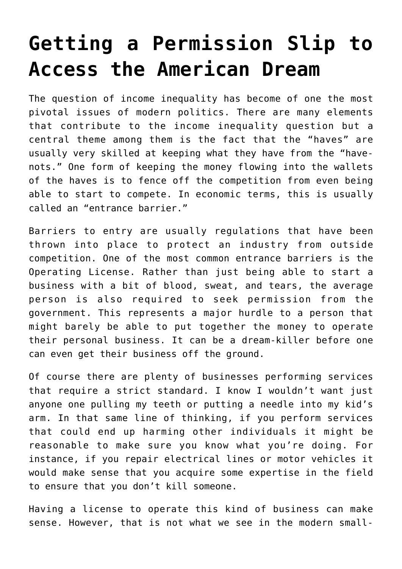## **[Getting a Permission Slip to](https://intellectualtakeout.org/2016/06/getting-a-permission-slip-to-access-the-american-dream/) [Access the American Dream](https://intellectualtakeout.org/2016/06/getting-a-permission-slip-to-access-the-american-dream/)**

The question of income inequality has become of one the most pivotal issues of modern politics. There are many elements that contribute to the income inequality question but a central theme among them is the fact that the "haves" are usually very skilled at keeping what they have from the "havenots." One form of keeping the money flowing into the wallets of the haves is to fence off the competition from even being able to start to compete. In economic terms, this is usually called an "entrance barrier."

Barriers to entry are usually regulations that have been thrown into place to protect an industry from outside competition. One of the most common entrance barriers is the Operating License. Rather than just being able to start a business with a bit of blood, sweat, and tears, the average person is also required to seek permission from the government. This represents a major hurdle to a person that might barely be able to put together the money to operate their personal business. It can be a dream-killer before one can even get their business off the ground.

Of course there are plenty of businesses performing services that require a strict standard. I know I wouldn't want just anyone one pulling my teeth or putting a needle into my kid's arm. In that same line of thinking, if you perform services that could end up harming other individuals it might be reasonable to make sure you know what you're doing. For instance, if you repair electrical lines or motor vehicles it would make sense that you acquire some expertise in the field to ensure that you don't kill someone.

Having a license to operate this kind of business can make sense. However, that is not what we see in the modern small